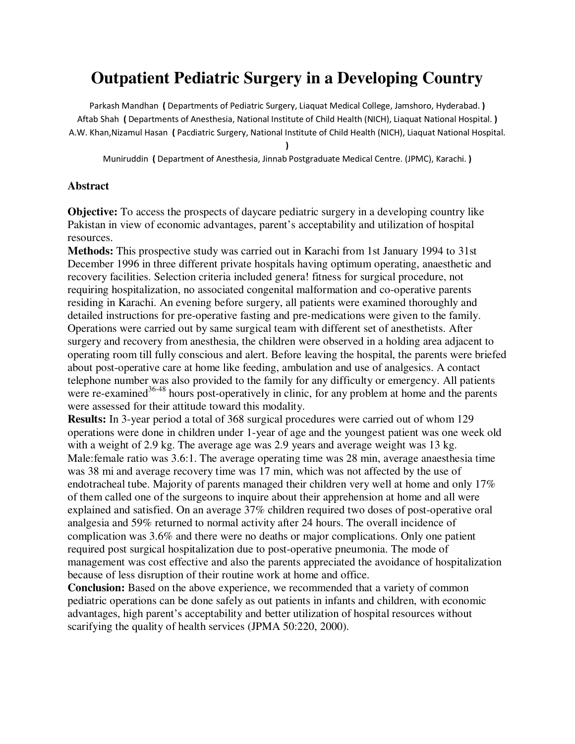# **Outpatient Pediatric Surgery in a Developing Country**

Parkash Mandhan ( Departments of Pediatric Surgery, Liaquat Medical College, Jamshoro, Hyderabad. ) Aftab Shah ( Departments of Anesthesia, National Institute of Child Health (NICH), Liaquat National Hospital. ) A.W. Khan,Nizamul Hasan ( Pacdiatric Surgery, National Institute of Child Health (NICH), Liaquat National Hospital.

)

Muniruddin ( Department of Anesthesia, Jinnab Postgraduate Medical Centre. (JPMC), Karachi. )

#### **Abstract**

**Objective:** To access the prospects of daycare pediatric surgery in a developing country like Pakistan in view of economic advantages, parent's acceptability and utilization of hospital resources.

**Methods:** This prospective study was carried out in Karachi from 1st January 1994 to 31st December 1996 in three different private hospitals having optimum operating, anaesthetic and recovery facilities. Selection criteria included genera! fitness for surgical procedure, not requiring hospitalization, no associated congenital malformation and co-operative parents residing in Karachi. An evening before surgery, all patients were examined thoroughly and detailed instructions for pre-operative fasting and pre-medications were given to the family. Operations were carried out by same surgical team with different set of anesthetists. After surgery and recovery from anesthesia, the children were observed in a holding area adjacent to operating room till fully conscious and alert. Before leaving the hospital, the parents were briefed about post-operative care at home like feeding, ambulation and use of analgesics. A contact telephone number was also provided to the family for any difficulty or emergency. All patients were re-examined<sup>36-48</sup> hours post-operatively in clinic, for any problem at home and the parents were assessed for their attitude toward this modality.

**Results:** In 3-year period a total of 368 surgical procedures were carried out of whom 129 operations were done in children under 1-year of age and the youngest patient was one week old with a weight of 2.9 kg. The average age was 2.9 years and average weight was 13 kg. Male:female ratio was 3.6:1. The average operating time was 28 min, average anaesthesia time was 38 mi and average recovery time was 17 min, which was not affected by the use of endotracheal tube. Majority of parents managed their children very well at home and only 17% of them called one of the surgeons to inquire about their apprehension at home and all were explained and satisfied. On an average 37% children required two doses of post-operative oral analgesia and 59% returned to normal activity after 24 hours. The overall incidence of complication was 3.6% and there were no deaths or major complications. Only one patient required post surgical hospitalization due to post-operative pneumonia. The mode of management was cost effective and also the parents appreciated the avoidance of hospitalization because of less disruption of their routine work at home and office.

**Conclusion:** Based on the above experience, we recommended that a variety of common pediatric operations can be done safely as out patients in infants and children, with economic advantages, high parent's acceptability and better utilization of hospital resources without scarifying the quality of health services (JPMA 50:220, 2000).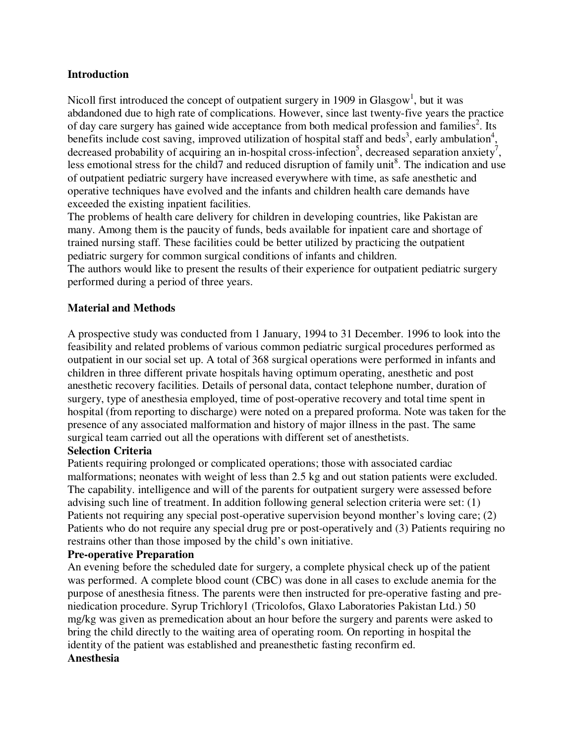#### **Introduction**

Nicoll first introduced the concept of outpatient surgery in 1909 in Glasgow<sup>1</sup>, but it was abdandoned due to high rate of complications. However, since last twenty-five years the practice of day care surgery has gained wide acceptance from both medical profession and families<sup>2</sup>. Its benefits include cost saving, improved utilization of hospital staff and beds<sup>3</sup>, early ambulation<sup>4</sup>, decreased probability of acquiring an in-hospital cross-infection<sup>5</sup>, decreased separation anxiety<sup>7</sup>, less emotional stress for the child7 and reduced disruption of family unit<sup>8</sup>. The indication and use of outpatient pediatric surgery have increased everywhere with time, as safe anesthetic and operative techniques have evolved and the infants and children health care demands have exceeded the existing inpatient facilities.

The problems of health care delivery for children in developing countries, like Pakistan are many. Among them is the paucity of funds, beds available for inpatient care and shortage of trained nursing staff. These facilities could be better utilized by practicing the outpatient pediatric surgery for common surgical conditions of infants and children.

The authors would like to present the results of their experience for outpatient pediatric surgery performed during a period of three years.

### **Material and Methods**

A prospective study was conducted from 1 January, 1994 to 31 December. 1996 to look into the feasibility and related problems of various common pediatric surgical procedures performed as outpatient in our social set up. A total of 368 surgical operations were performed in infants and children in three different private hospitals having optimum operating, anesthetic and post anesthetic recovery facilities. Details of personal data, contact telephone number, duration of surgery, type of anesthesia employed, time of post-operative recovery and total time spent in hospital (from reporting to discharge) were noted on a prepared proforma. Note was taken for the presence of any associated malformation and history of major illness in the past. The same surgical team carried out all the operations with different set of anesthetists.

### **Selection Criteria**

Patients requiring prolonged or complicated operations; those with associated cardiac malformations; neonates with weight of less than 2.5 kg and out station patients were excluded. The capability. intelligence and will of the parents for outpatient surgery were assessed before advising such line of treatment. In addition following general selection criteria were set: (1) Patients not requiring any special post-operative supervision beyond monther's loving care; (2) Patients who do not require any special drug pre or post-operatively and (3) Patients requiring no restrains other than those imposed by the child's own initiative.

#### **Pre-operative Preparation**

An evening before the scheduled date for surgery, a complete physical check up of the patient was performed. A complete blood count (CBC) was done in all cases to exclude anemia for the purpose of anesthesia fitness. The parents were then instructed for pre-operative fasting and preniedication procedure. Syrup Trichlory1 (Tricolofos, Glaxo Laboratories Pakistan Ltd.) 50 mg/kg was given as premedication about an hour before the surgery and parents were asked to bring the child directly to the waiting area of operating room. On reporting in hospital the identity of the patient was established and preanesthetic fasting reconfirm ed. **Anesthesia**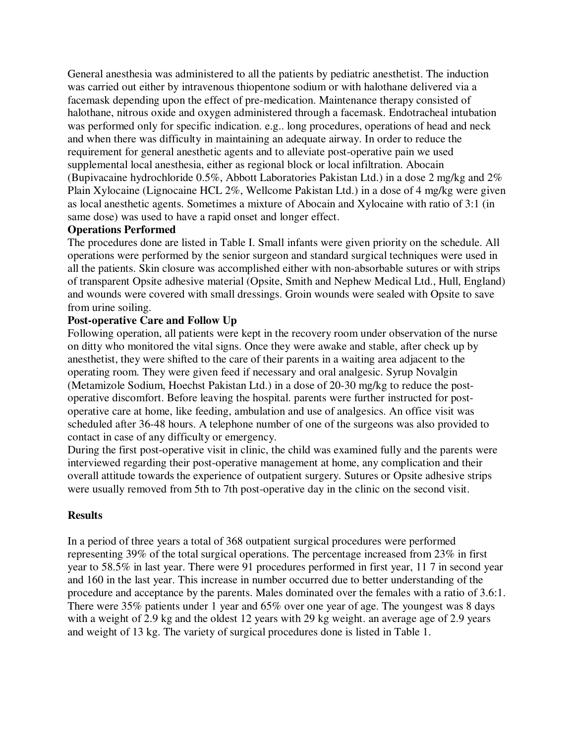General anesthesia was administered to all the patients by pediatric anesthetist. The induction was carried out either by intravenous thiopentone sodium or with halothane delivered via a facemask depending upon the effect of pre-medication. Maintenance therapy consisted of halothane, nitrous oxide and oxygen administered through a facemask. Endotracheal intubation was performed only for specific indication. e.g.. long procedures, operations of head and neck and when there was difficulty in maintaining an adequate airway. In order to reduce the requirement for general anesthetic agents and to alleviate post-operative pain we used supplemental local anesthesia, either as regional block or local infiltration. Abocain (Bupivacaine hydrochloride 0.5%, Abbott Laboratories Pakistan Ltd.) in a dose 2 mg/kg and 2% Plain Xylocaine (Lignocaine HCL 2%, Wellcome Pakistan Ltd.) in a dose of 4 mg/kg were given as local anesthetic agents. Sometimes a mixture of Abocain and Xylocaine with ratio of 3:1 (in same dose) was used to have a rapid onset and longer effect.

### **Operations Performed**

The procedures done are listed in Table I. Small infants were given priority on the schedule. All operations were performed by the senior surgeon and standard surgical techniques were used in all the patients. Skin closure was accomplished either with non-absorbable sutures or with strips of transparent Opsite adhesive material (Opsite, Smith and Nephew Medical Ltd., Hull, England) and wounds were covered with small dressings. Groin wounds were sealed with Opsite to save from urine soiling.

# **Post-operative Care and Follow Up**

Following operation, all patients were kept in the recovery room under observation of the nurse on ditty who monitored the vital signs. Once they were awake and stable, after check up by anesthetist, they were shifted to the care of their parents in a waiting area adjacent to the operating room. They were given feed if necessary and oral analgesic. Syrup Novalgin (Metamizole Sodium, Hoechst Pakistan Ltd.) in a dose of 20-30 mg/kg to reduce the postoperative discomfort. Before leaving the hospital. parents were further instructed for postoperative care at home, like feeding, ambulation and use of analgesics. An office visit was scheduled after 36-48 hours. A telephone number of one of the surgeons was also provided to contact in case of any difficulty or emergency.

During the first post-operative visit in clinic, the child was examined fully and the parents were interviewed regarding their post-operative management at home, any complication and their overall attitude towards the experience of outpatient surgery. Sutures or Opsite adhesive strips were usually removed from 5th to 7th post-operative day in the clinic on the second visit.

# **Results**

In a period of three years a total of 368 outpatient surgical procedures were performed representing 39% of the total surgical operations. The percentage increased from 23% in first year to 58.5% in last year. There were 91 procedures performed in first year, 11 7 in second year and 160 in the last year. This increase in number occurred due to better understanding of the procedure and acceptance by the parents. Males dominated over the females with a ratio of 3.6:1. There were 35% patients under 1 year and 65% over one year of age. The youngest was 8 days with a weight of 2.9 kg and the oldest 12 years with 29 kg weight. an average age of 2.9 years and weight of 13 kg. The variety of surgical procedures done is listed in Table 1.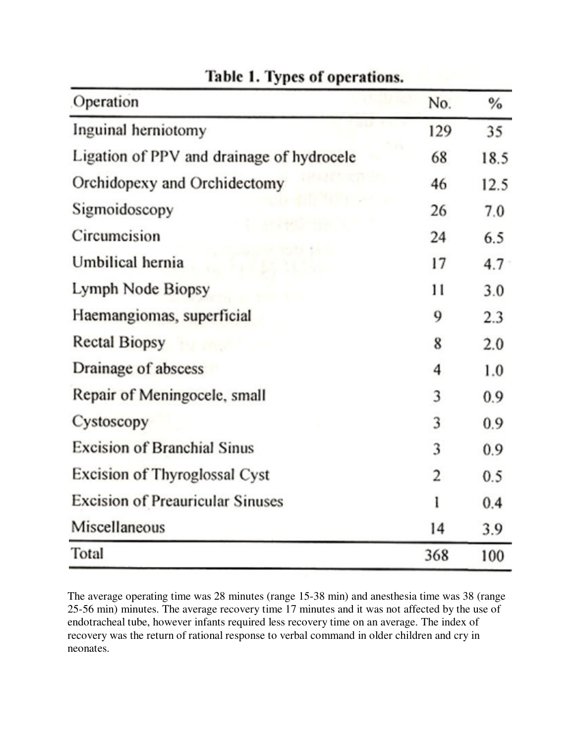| Operation                                 | No. | $\%$ |
|-------------------------------------------|-----|------|
| Inguinal herniotomy                       | 129 | 35   |
| Ligation of PPV and drainage of hydrocele | 68  | 18.5 |
| Orchidopexy and Orchidectomy              | 46  | 12.5 |
| Sigmoidoscopy                             | 26  | 7.0  |
| Circumcision                              | 24  | 6.5  |
| Umbilical hernia                          | 17  | 4.7  |
| Lymph Node Biopsy                         | 11  | 3.0  |
| Haemangiomas, superficial                 | 9   | 2.3  |
| <b>Rectal Biopsy</b>                      | 8   | 2.0  |
| Drainage of abscess                       | 4   | 1.0  |
| Repair of Meningocele, small              | 3   | 0.9  |
| Cystoscopy                                | 3   | 0.9  |
| <b>Excision of Branchial Sinus</b>        | 3   | 0.9  |
| Excision of Thyroglossal Cyst             | 2   | 0.5  |
| <b>Excision of Preauricular Sinuses</b>   | ı   | 0.4  |
| Miscellaneous                             | 14  | 3.9  |
| Total                                     | 368 | 100  |

# Table 1. Types of operations.

The average operating time was 28 minutes (range 15-38 min) and anesthesia time was 38 (range 25-56 min) minutes. The average recovery time 17 minutes and it was not affected by the use of endotracheal tube, however infants required less recovery time on an average. The index of recovery was the return of rational response to verbal command in older children and cry in neonates.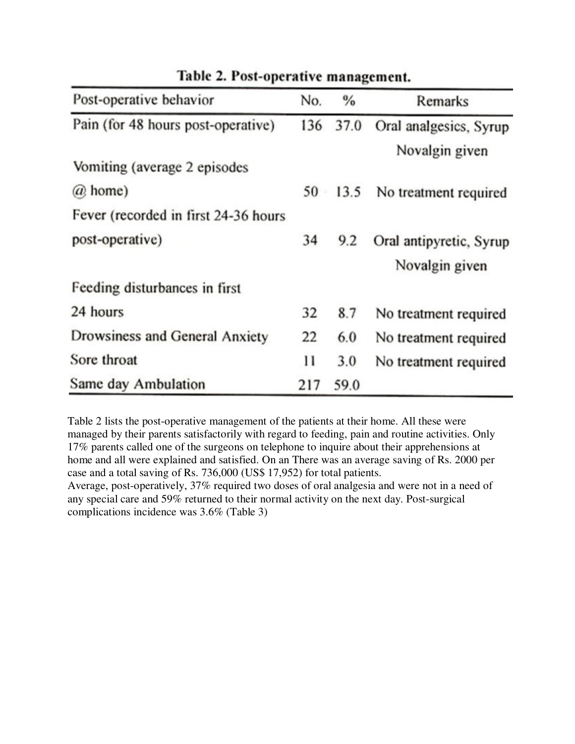| Post-operative behavior              | No.    | $\frac{0}{0}$ | Remarks                 |
|--------------------------------------|--------|---------------|-------------------------|
| Pain (for 48 hours post-operative)   |        | 136 37.0      | Oral analgesics, Syrup  |
|                                      |        |               | Novalgin given          |
| Vomiting (average 2 episodes         |        |               |                         |
| @ home)                              | $50 -$ | 13.5          | No treatment required   |
| Fever (recorded in first 24-36 hours |        |               |                         |
| post-operative)                      | 34     | 9.2           | Oral antipyretic, Syrup |
|                                      |        |               | Novalgin given          |
| Feeding disturbances in first        |        |               |                         |
| 24 hours                             | 32     | 8.7           | No treatment required   |
| Drowsiness and General Anxiety       | 22     | 6.0           | No treatment required   |
| Sore throat                          | 11     | 3.0           | No treatment required   |
| Same day Ambulation                  | 217    | 59.0          |                         |

Table 2. Post-operative management.

Table 2 lists the post-operative management of the patients at their home. All these were managed by their parents satisfactorily with regard to feeding, pain and routine activities. Only 17% parents called one of the surgeons on telephone to inquire about their apprehensions at home and all were explained and satisfied. On an There was an average saving of Rs. 2000 per case and a total saving of Rs. 736,000 (US\$ 17,952) for total patients.

Average, post-operatively, 37% required two doses of oral analgesia and were not in a need of any special care and 59% returned to their normal activity on the next day. Post-surgical complications incidence was 3.6% (Table 3)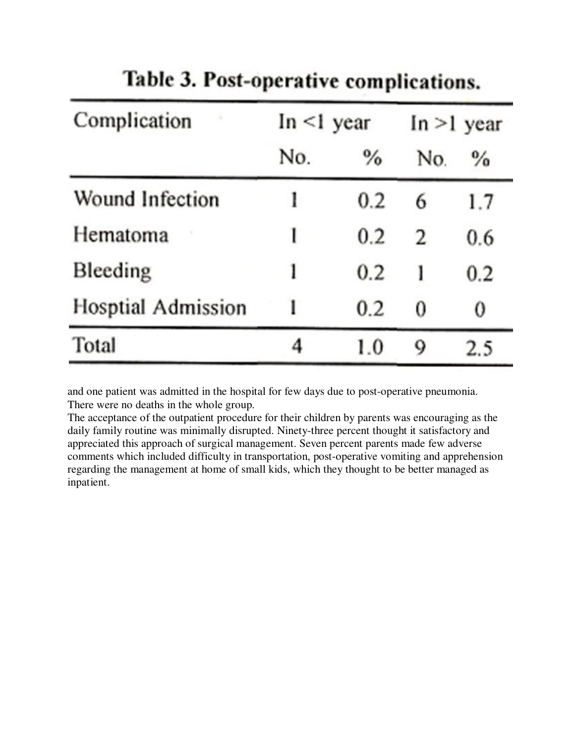| Complication              | $In < 1$ year |      | $In > 1$ year |      |
|---------------------------|---------------|------|---------------|------|
|                           | No.           | $\%$ | No.           | $\%$ |
| Wound Infection           | ı             | 0.2  | 6             | 1.7  |
| Hematoma                  | l             | 0.2  | 2             | 0.6  |
| Bleeding                  | 1             | 0.2  | ı             | 0.2  |
| <b>Hosptial Admission</b> | ı             | 0.2  | 0             | 0    |
| Total                     | 4             | 1.0  | 9             | 2.5  |

Table 3. Post-operative complications.

and one patient was admitted in the hospital for few days due to post-operative pneumonia. There were no deaths in the whole group.

The acceptance of the outpatient procedure for their children by parents was encouraging as the daily family routine was minimally disrupted. Ninety-three percent thought it satisfactory and appreciated this approach of surgical management. Seven percent parents made few adverse comments which included difficulty in transportation, post-operative vomiting and apprehension regarding the management at home of small kids, which they thought to be better managed as inpatient.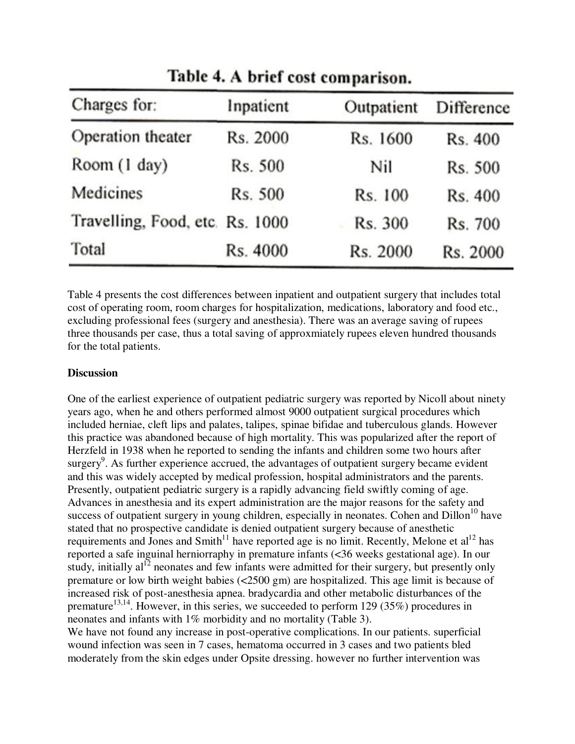| Charges for:                    | Inpatient | Outpatient | Difference |
|---------------------------------|-----------|------------|------------|
| Operation theater               | Rs. 2000  | Rs. 1600   | Rs. 400    |
| Room (1 day)                    | Rs. 500   | Nil        | Rs. 500    |
| Medicines                       | Rs. 500   | Rs. 100    | Rs. 400    |
| Travelling, Food, etc. Rs. 1000 |           | Rs. 300    | Rs. 700    |
| Total                           | Rs. 4000  | Rs. 2000   | Rs. 2000   |

Table 4. A brief cost comparison.

Table 4 presents the cost differences between inpatient and outpatient surgery that includes total cost of operating room, room charges for hospitalization, medications, laboratory and food etc., excluding professional fees (surgery and anesthesia). There was an average saving of rupees three thousands per case, thus a total saving of approxmiately rupees eleven hundred thousands for the total patients.

#### **Discussion**

One of the earliest experience of outpatient pediatric surgery was reported by Nicoll about ninety years ago, when he and others performed almost 9000 outpatient surgical procedures which included herniae, cleft lips and palates, talipes, spinae bifidae and tuberculous glands. However this practice was abandoned because of high mortality. This was popularized after the report of Herzfeld in 1938 when he reported to sending the infants and children some two hours after surgery<sup>9</sup>. As further experience accrued, the advantages of outpatient surgery became evident and this was widely accepted by medical profession, hospital administrators and the parents. Presently, outpatient pediatric surgery is a rapidly advancing field swiftly coming of age. Advances in anesthesia and its expert administration are the major reasons for the safety and success of outpatient surgery in young children, especially in neonates. Cohen and  $\text{Dillon}^{10}$  have stated that no prospective candidate is denied outpatient surgery because of anesthetic requirements and Jones and Smith<sup>11</sup> have reported age is no limit. Recently, Melone et al<sup>12</sup> has reported a safe inguinal herniorraphy in premature infants (<36 weeks gestational age). In our study, initially  $al<sup>12</sup>$  neonates and few infants were admitted for their surgery, but presently only premature or low birth weight babies (<2500 gm) are hospitalized. This age limit is because of increased risk of post-anesthesia apnea. bradycardia and other metabolic disturbances of the premature<sup>13,14</sup>. However, in this series, we succeeded to perform 129 (35%) procedures in neonates and infants with 1% morbidity and no mortality (Table 3).

We have not found any increase in post-operative complications. In our patients, superficial wound infection was seen in 7 cases, hematoma occurred in 3 cases and two patients bled moderately from the skin edges under Opsite dressing. however no further intervention was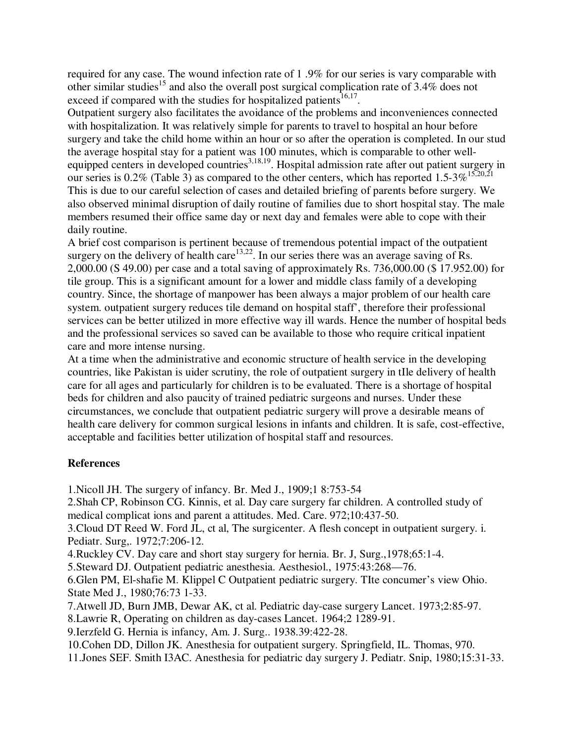required for any case. The wound infection rate of 1 .9% for our series is vary comparable with other similar studies<sup>15</sup> and also the overall post surgical complication rate of  $3.4\%$  does not exceed if compared with the studies for hospitalized patients<sup>16,17</sup>.

Outpatient surgery also facilitates the avoidance of the problems and inconveniences connected with hospitalization. It was relatively simple for parents to travel to hospital an hour before surgery and take the child home within an hour or so after the operation is completed. In our stud the average hospital stay for a patient was 100 minutes, which is comparable to other wellequipped centers in developed countries<sup>3,18,19</sup>. Hospital admission rate after out patient surgery in our series is 0.2% (Table 3) as compared to the other centers, which has reported 1.5-3%<sup>15,20,21</sup> This is due to our careful selection of cases and detailed briefing of parents before surgery. We also observed minimal disruption of daily routine of families due to short hospital stay. The male members resumed their office same day or next day and females were able to cope with their daily routine.

A brief cost comparison is pertinent because of tremendous potential impact of the outpatient surgery on the delivery of health care<sup>13,22</sup>. In our series there was an average saving of Rs. 2,000.00 (S 49.00) per case and a total saving of approximately Rs. 736,000.00 (\$ 17.952.00) for tile group. This is a significant amount for a lower and middle class family of a developing country. Since, the shortage of manpower has been always a major problem of our health care system. outpatient surgery reduces tile demand on hospital staff', therefore their professional services can be better utilized in more effective way ill wards. Hence the number of hospital beds and the professional services so saved can be available to those who require critical inpatient care and more intense nursing.

At a time when the administrative and economic structure of health service in the developing countries, like Pakistan is uider scrutiny, the role of outpatient surgery in tIle delivery of health care for all ages and particularly for children is to be evaluated. There is a shortage of hospital beds for children and also paucity of trained pediatric surgeons and nurses. Under these circumstances, we conclude that outpatient pediatric surgery will prove a desirable means of health care delivery for common surgical lesions in infants and children. It is safe, cost-effective, acceptable and facilities better utilization of hospital staff and resources.

# **References**

1.Nicoll JH. The surgery of infancy. Br. Med J., 1909;1 8:753-54

2.Shah CP, Robinson CG. Kinnis, et al. Day care surgery far children. A controlled study of medical complicat ions and parent a attitudes. Med. Care. 972;10:437-50.

3.Cloud DT Reed W. Ford JL, ct al, The surgicenter. A flesh concept in outpatient surgery. i. Pediatr. Surg,. 1972;7:206-12.

4.Ruckley CV. Day care and short stay surgery for hernia. Br. J, Surg.,1978;65:1-4.

5.Steward DJ. Outpatient pediatric anesthesia. Aesthesiol., 1975:43:268—76.

6.Glen PM, El-shafie M. Klippel C Outpatient pediatric surgery. TIte concumer's view Ohio. State Med J., 1980;76:73 1-33.

7.Atwell JD, Burn JMB, Dewar AK, ct al. Pediatric day-case surgery Lancet. 1973;2:85-97.

8.Lawrie R, Operating on children as day-cases Lancet. 1964;2 1289-91.

9.Ierzfeld G. Hernia is infancy, Am. J. Surg.. 1938.39:422-28.

10.Cohen DD, Dillon JK. Anesthesia for outpatient surgery. Springfield, IL. Thomas, 970.

11.Jones SEF. Smith I3AC. Anesthesia for pediatric day surgery J. Pediatr. Snip, 1980;15:31-33.